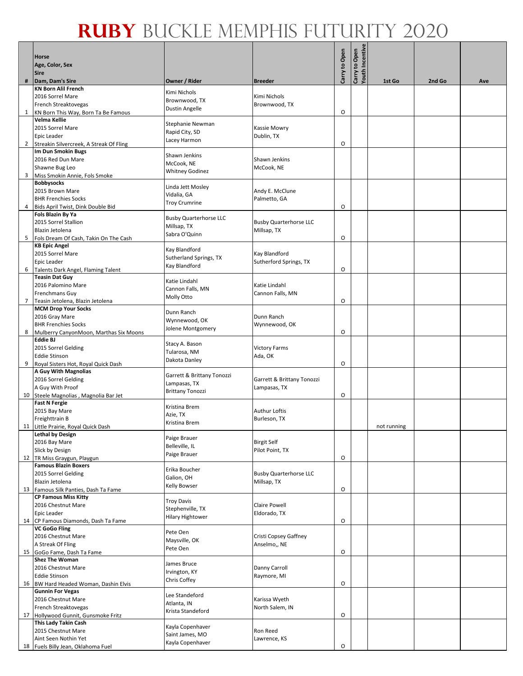|                 | <b>Horse</b>                                                    |                                            |                                              |               |                                  |             |        |     |
|-----------------|-----------------------------------------------------------------|--------------------------------------------|----------------------------------------------|---------------|----------------------------------|-------------|--------|-----|
|                 | Age, Color, Sex<br><b>Sire</b>                                  |                                            |                                              | Carry to Open | Carry to Open<br>Youth Incentive |             |        |     |
| #               | Dam, Dam's Sire                                                 | Owner / Rider                              | <b>Breeder</b>                               |               |                                  | 1st Go      | 2nd Go | Ave |
|                 | <b>KN Born Alil French</b>                                      | Kimi Nichols                               |                                              |               |                                  |             |        |     |
|                 | 2016 Sorrel Mare<br>French Streaktovegas                        | Brownwood, TX                              | Kimi Nichols<br>Brownwood, TX                |               |                                  |             |        |     |
| 1               | KN Born This Way, Born Ta Be Famous                             | <b>Dustin Angelle</b>                      |                                              | O             |                                  |             |        |     |
|                 | Velma Kellie                                                    | Stephanie Newman                           |                                              |               |                                  |             |        |     |
|                 | 2015 Sorrel Mare                                                | Rapid City, SD                             | Kassie Mowry                                 |               |                                  |             |        |     |
|                 | <b>Epic Leader</b>                                              | Lacey Harmon                               | Dublin, TX                                   |               |                                  |             |        |     |
|                 | 2 Streakin Silvercreek, A Streak Of Fling<br>Im Dun Smokin Bugs |                                            |                                              | O             |                                  |             |        |     |
|                 | 2016 Red Dun Mare                                               | Shawn Jenkins                              | Shawn Jenkins                                |               |                                  |             |        |     |
|                 | Shawne Bug Leo                                                  | McCook, NE<br><b>Whitney Godinez</b>       | McCook, NE                                   |               |                                  |             |        |     |
|                 | 3 Miss Smokin Annie, Fols Smoke                                 |                                            |                                              |               |                                  |             |        |     |
|                 | <b>Bobbysocks</b><br>2015 Brown Mare                            | Linda Jett Mosley                          | Andy E. McClune                              |               |                                  |             |        |     |
|                 | <b>BHR Frenchies Socks</b>                                      | Vidalia, GA                                | Palmetto, GA                                 |               |                                  |             |        |     |
| 4               | Bids April Twist, Dink Double Bid                               | <b>Troy Crumrine</b>                       |                                              | O             |                                  |             |        |     |
|                 | <b>Fols Blazin By Ya</b>                                        | <b>Busby Quarterhorse LLC</b>              |                                              |               |                                  |             |        |     |
|                 | 2015 Sorrel Stallion                                            | Millsap, TX                                | <b>Busby Quarterhorse LLC</b>                |               |                                  |             |        |     |
|                 | Blazin Jetolena<br>5 Fols Dream Of Cash, Takin On The Cash      | Sabra O'Quinn                              | Millsap, TX                                  | O             |                                  |             |        |     |
|                 | <b>KB Epic Angel</b>                                            |                                            |                                              |               |                                  |             |        |     |
|                 | 2015 Sorrel Mare                                                | Kay Blandford<br>Sutherland Springs, TX    | Kay Blandford                                |               |                                  |             |        |     |
|                 | <b>Epic Leader</b>                                              | Kay Blandford                              | Sutherford Springs, TX                       |               |                                  |             |        |     |
| 6               | Talents Dark Angel, Flaming Talent<br><b>Teasin Dat Guy</b>     |                                            |                                              | O             |                                  |             |        |     |
|                 | 2016 Palomino Mare                                              | Katie Lindahl                              | Katie Lindahl                                |               |                                  |             |        |     |
|                 | <b>Frenchmans Guy</b>                                           | Cannon Falls, MN                           | Cannon Falls, MN                             |               |                                  |             |        |     |
| $7\overline{ }$ | Teasin Jetolena, Blazin Jetolena                                | Molly Otto                                 |                                              | O             |                                  |             |        |     |
|                 | <b>MCM Drop Your Socks</b><br>2016 Gray Mare                    | Dunn Ranch                                 | Dunn Ranch                                   |               |                                  |             |        |     |
|                 | <b>BHR Frenchies Socks</b>                                      | Wynnewood, OK                              | Wynnewood, OK                                |               |                                  |             |        |     |
| 8               | Mulberry CanyonMoon, Marthas Six Moons                          | Jolene Montgomery                          |                                              | O             |                                  |             |        |     |
|                 | <b>Eddie BJ</b>                                                 | Stacy A. Bason                             |                                              |               |                                  |             |        |     |
|                 | 2015 Sorrel Gelding                                             | Tularosa, NM                               | <b>Victory Farms</b>                         |               |                                  |             |        |     |
|                 | <b>Eddie Stinson</b><br>9 Royal Sisters Hot, Royal Quick Dash   | Dakota Danley                              | Ada, OK                                      | O             |                                  |             |        |     |
|                 | A Guy With Magnolias                                            |                                            |                                              |               |                                  |             |        |     |
|                 | 2016 Sorrel Gelding                                             | Garrett & Brittany Tonozzi<br>Lampasas, TX | Garrett & Brittany Tonozzi                   |               |                                  |             |        |     |
|                 | A Guy With Proof                                                | <b>Brittany Tonozzi</b>                    | Lampasas, TX                                 |               |                                  |             |        |     |
|                 | 10 Steele Magnolias, Magnolia Bar Jet<br><b>Fast N Fergie</b>   |                                            |                                              | O             |                                  |             |        |     |
|                 | 2015 Bay Mare                                                   | Kristina Brem                              | <b>Authur Loftis</b>                         |               |                                  |             |        |     |
|                 | Freighttrain B                                                  | Azie, TX<br>Kristina Brem                  | Burleson, TX                                 |               |                                  |             |        |     |
|                 | 11 Little Prairie, Royal Quick Dash                             |                                            |                                              |               |                                  | not running |        |     |
|                 | <b>Lethal by Design</b><br>2016 Bay Mare                        | Paige Brauer                               | <b>Birgit Self</b>                           |               |                                  |             |        |     |
|                 | Slick by Design                                                 | Belleville, IL                             | Pilot Point, TX                              |               |                                  |             |        |     |
|                 | 12 TR Miss Graygun, Playgun                                     | Paige Brauer                               |                                              | O             |                                  |             |        |     |
|                 | <b>Famous Blazin Boxers</b>                                     | Erika Boucher                              |                                              |               |                                  |             |        |     |
|                 | 2015 Sorrel Gelding<br>Blazin Jetolena                          | Galion, OH                                 | <b>Busby Quarterhorse LLC</b><br>Millsap, TX |               |                                  |             |        |     |
|                 | 13 Famous Silk Panties, Dash Ta Fame                            | Kelly Bowser                               |                                              | $\circ$       |                                  |             |        |     |
|                 | <b>CP Famous Miss Kitty</b>                                     | <b>Troy Davis</b>                          |                                              |               |                                  |             |        |     |
|                 | 2016 Chestnut Mare                                              | Stephenville, TX                           | Claire Powell                                |               |                                  |             |        |     |
|                 | Epic Leader<br>14 CP Famous Diamonds, Dash Ta Fame              | <b>Hilary Hightower</b>                    | Eldorado, TX                                 | O             |                                  |             |        |     |
|                 | <b>VC GoGo Fling</b>                                            |                                            |                                              |               |                                  |             |        |     |
|                 | 2016 Chestnut Mare                                              | Pete Oen<br>Maysville, OK                  | Cristi Copsey Gaffney                        |               |                                  |             |        |     |
|                 | A Streak Of Fling                                               | Pete Oen                                   | Anselmo,, NE                                 |               |                                  |             |        |     |
|                 | 15 GoGo Fame, Dash Ta Fame<br><b>Shez The Woman</b>             |                                            |                                              | $\circ$       |                                  |             |        |     |
|                 | 2016 Chestnut Mare                                              | James Bruce                                | Danny Carroll                                |               |                                  |             |        |     |
|                 | <b>Eddie Stinson</b>                                            | Irvington, KY<br>Chris Coffey              | Raymore, MI                                  |               |                                  |             |        |     |
|                 | 16 BW Hard Headed Woman, Dashin Elvis                           |                                            |                                              | O             |                                  |             |        |     |
|                 | <b>Gunnin For Vegas</b><br>2016 Chestnut Mare                   | Lee Standeford                             | Karissa Wyeth                                |               |                                  |             |        |     |
|                 | French Streaktovegas                                            | Atlanta, IN                                | North Salem, IN                              |               |                                  |             |        |     |
|                 | 17 Hollywood Gunnit, Gunsmoke Fritz                             | Krista Standeford                          |                                              | O             |                                  |             |        |     |
|                 | This Lady Takin Cash                                            | Kayla Copenhaver                           |                                              |               |                                  |             |        |     |
|                 | 2015 Chestnut Mare<br>Aint Seen Nothin Yet                      | Saint James, MO                            | Ron Reed<br>Lawrence, KS                     |               |                                  |             |        |     |
|                 | 18 Fuels Billy Jean, Oklahoma Fuel                              | Kayla Copenhaver                           |                                              | O             |                                  |             |        |     |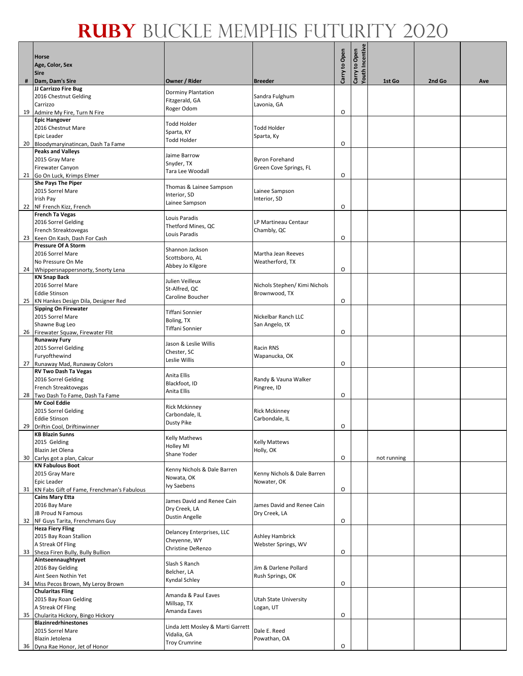|    | Horse<br>Age, Color, Sex                                           |                                        |                                             | Carry to Open | Carry to Open<br>Youth Incentive |             |        |     |
|----|--------------------------------------------------------------------|----------------------------------------|---------------------------------------------|---------------|----------------------------------|-------------|--------|-----|
|    | <b>Sire</b>                                                        |                                        |                                             |               |                                  |             |        |     |
| #  | Dam, Dam's Sire<br>JJ Carrizzo Fire Bug                            | Owner / Rider                          | <b>Breeder</b>                              |               |                                  | 1st Go      | 2nd Go | Ave |
|    | 2016 Chestnut Gelding                                              | <b>Dorminy Plantation</b>              | Sandra Fulghum                              |               |                                  |             |        |     |
|    | Carrizzo                                                           | Fitzgerald, GA<br>Roger Odom           | Lavonia, GA                                 |               |                                  |             |        |     |
|    | 19 Admire My Fire, Turn N Fire                                     |                                        |                                             | O             |                                  |             |        |     |
|    | <b>Epic Hangover</b>                                               | Todd Holder                            |                                             |               |                                  |             |        |     |
|    | 2016 Chestnut Mare<br>Epic Leader                                  | Sparta, KY                             | <b>Todd Holder</b><br>Sparta, Ky            |               |                                  |             |        |     |
|    | 20 Bloodymaryinatincan, Dash Ta Fame                               | Todd Holder                            |                                             | O             |                                  |             |        |     |
|    | <b>Peaks and Valleys</b>                                           | Jaime Barrow                           |                                             |               |                                  |             |        |     |
|    | 2015 Gray Mare                                                     | Snyder, TX                             | <b>Byron Forehand</b>                       |               |                                  |             |        |     |
|    | Firewater Canyon                                                   | Tara Lee Woodall                       | Green Cove Springs, FL                      | $\circ$       |                                  |             |        |     |
|    | 21 Go On Luck, Krimps Elmer<br><b>She Pays The Piper</b>           |                                        |                                             |               |                                  |             |        |     |
|    | 2015 Sorrel Mare                                                   | Thomas & Lainee Sampson                | Lainee Sampson                              |               |                                  |             |        |     |
|    | Irish Pay                                                          | Interior, SD<br>Lainee Sampson         | Interior, SD                                |               |                                  |             |        |     |
|    | 22 NF French Kizz, French                                          |                                        |                                             | O             |                                  |             |        |     |
|    | <b>French Ta Vegas</b><br>2016 Sorrel Gelding                      | Louis Paradis                          | LP Martineau Centaur                        |               |                                  |             |        |     |
|    | French Streaktovegas                                               | Thetford Mines, QC                     | Chambly, QC                                 |               |                                  |             |        |     |
| 23 | Keen On Kash, Dash For Cash                                        | Louis Paradis                          |                                             | $\circ$       |                                  |             |        |     |
|    | <b>Pressure Of A Storm</b>                                         | Shannon Jackson                        |                                             |               |                                  |             |        |     |
|    | 2016 Sorrel Mare                                                   | Scottsboro, AL                         | Martha Jean Reeves<br>Weatherford, TX       |               |                                  |             |        |     |
|    | No Pressure On Me<br>24 Whippersnappersnorty, Snorty Lena          | Abbey Jo Kilgore                       |                                             | 0             |                                  |             |        |     |
|    | <b>KN Snap Back</b>                                                |                                        |                                             |               |                                  |             |        |     |
|    | 2016 Sorrel Mare                                                   | Julien Veilleux<br>St-Alfred, QC       | Nichols Stephen/ Kimi Nichols               |               |                                  |             |        |     |
|    | <b>Eddie Stinson</b>                                               | Caroline Boucher                       | Brownwood, TX                               |               |                                  |             |        |     |
| 25 | KN Hankes Design Dila, Designer Red<br><b>Sipping On Firewater</b> |                                        |                                             | $\circ$       |                                  |             |        |     |
|    | 2015 Sorrel Mare                                                   | Tiffani Sonnier                        | Nickelbar Ranch LLC                         |               |                                  |             |        |     |
|    | Shawne Bug Leo                                                     | Boling, TX                             | San Angelo, tX                              |               |                                  |             |        |     |
|    | 26 Firewater Squaw, Firewater Flit                                 | Tiffani Sonnier                        |                                             | O             |                                  |             |        |     |
|    | <b>Runaway Fury</b>                                                | Jason & Leslie Willis                  |                                             |               |                                  |             |        |     |
|    | 2015 Sorrel Gelding<br>Furyofthewind                               | Chester, SC                            | Racin RNS<br>Wapanucka, OK                  |               |                                  |             |        |     |
|    | 27 Runaway Mad, Runaway Colors                                     | Leslie Willis                          |                                             | O             |                                  |             |        |     |
|    | <b>RV Two Dash Ta Vegas</b>                                        | Anita Ellis                            |                                             |               |                                  |             |        |     |
|    | 2016 Sorrel Gelding                                                | Blackfoot, ID                          | Randy & Vauna Walker                        |               |                                  |             |        |     |
|    | French Streaktovegas<br>28 Two Dash To Fame, Dash Ta Fame          | Anita Ellis                            | Pingree, ID                                 | O             |                                  |             |        |     |
|    | <b>Mr Cool Eddie</b>                                               |                                        |                                             |               |                                  |             |        |     |
|    | 2015 Sorrel Gelding                                                | <b>Rick Mckinney</b><br>Carbondale, IL | <b>Rick Mckinney</b>                        |               |                                  |             |        |     |
|    | <b>Eddie Stinson</b>                                               | Dusty Pike                             | Carbondale, IL                              |               |                                  |             |        |     |
| 29 | Driftin Cool, Driftinwinner<br><b>KB Blazin Sunns</b>              |                                        |                                             | O             |                                  |             |        |     |
|    | 2015 Gelding                                                       | Kelly Mathews                          | <b>Kelly Mattews</b>                        |               |                                  |             |        |     |
|    | Blazin Jet Olena                                                   | <b>Holley MI</b><br>Shane Yoder        | Holly, OK                                   |               |                                  |             |        |     |
| 30 | Carlys got a plan, Calcur                                          |                                        |                                             | O             |                                  | not running |        |     |
|    | <b>KN Fabulous Boot</b><br>2015 Gray Mare                          | Kenny Nichols & Dale Barren            | Kenny Nichols & Dale Barren                 |               |                                  |             |        |     |
|    | Epic Leader                                                        | Nowata, OK                             | Nowater, OK                                 |               |                                  |             |        |     |
| 31 | KN Fabs Gift of Fame, Frenchman's Fabulous                         | Ivy Saebens                            |                                             | O             |                                  |             |        |     |
|    | <b>Cains Mary Etta</b>                                             | James David and Renee Cain             |                                             |               |                                  |             |        |     |
|    | 2016 Bay Mare<br>JB Proud N Famous                                 | Dry Creek, LA                          | James David and Renee Cain<br>Dry Creek, LA |               |                                  |             |        |     |
| 32 | NF Guys Tarita, Frenchmans Guy                                     | Dustin Angelle                         |                                             | O             |                                  |             |        |     |
|    | <b>Heza Fiery Fling</b>                                            | Delancey Enterprises, LLC              |                                             |               |                                  |             |        |     |
|    | 2015 Bay Roan Stallion                                             | Cheyenne, WY                           | <b>Ashley Hambrick</b>                      |               |                                  |             |        |     |
|    | A Streak Of Fling                                                  | Christine DeRenzo                      | Webster Springs, WV                         |               |                                  |             |        |     |
|    | 33 Sheza Firen Bully, Bully Bullion<br>Aintseennaughtyyet          |                                        |                                             | O             |                                  |             |        |     |
|    | 2016 Bay Gelding                                                   | Slash S Ranch<br>Belcher, LA           | Jim & Darlene Pollard                       |               |                                  |             |        |     |
|    | Aint Seen Nothin Yet                                               | Kyndal Schley                          | Rush Springs, OK                            |               |                                  |             |        |     |
|    | 34 Miss Pecos Brown, My Leroy Brown<br><b>Chularitas Fling</b>     |                                        |                                             | O             |                                  |             |        |     |
|    | 2015 Bay Roan Gelding                                              | Amanda & Paul Eaves                    | Utah State University                       |               |                                  |             |        |     |
|    | A Streak Of Fling                                                  | Millsap, TX                            | Logan, UT                                   |               |                                  |             |        |     |
| 35 | Chularita Hickory, Bingo Hickory                                   | Amanda Eaves                           |                                             | O             |                                  |             |        |     |
|    | <b>Blazinredrhinestones</b>                                        | Linda Jett Mosley & Marti Garrett      |                                             |               |                                  |             |        |     |
|    | 2015 Sorrel Mare<br>Blazin Jetolena                                | Vidalia, GA                            | Dale E. Reed<br>Powathan, OA                |               |                                  |             |        |     |
|    | 36 Dyna Rae Honor, Jet of Honor                                    | <b>Troy Crumrine</b>                   |                                             | O             |                                  |             |        |     |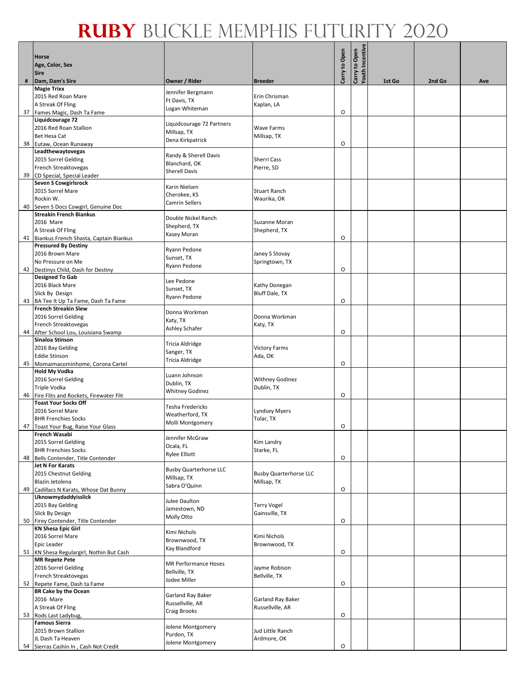|    | <b>Horse</b><br>Age, Color, Sex<br><b>Sire</b>                      |                                     |                                  | Carry to Open | Carry to Open<br>Youth Incentive |        |        |     |
|----|---------------------------------------------------------------------|-------------------------------------|----------------------------------|---------------|----------------------------------|--------|--------|-----|
| #  | Dam, Dam's Sire                                                     | Owner / Rider                       | <b>Breeder</b>                   |               |                                  | 1st Go | 2nd Go | Ave |
|    | <b>Magie Trixx</b>                                                  | Jennifer Bergmann                   |                                  |               |                                  |        |        |     |
|    | 2015 Red Roan Mare                                                  | Ft Davis, TX                        | Erin Chrisman                    |               |                                  |        |        |     |
|    | A Streak Of Fling                                                   | Logan Whiteman                      | Kaplan, LA                       | O             |                                  |        |        |     |
|    | 37 Fames Magic, Dash Ta Fame<br>Liquidcourage 72                    |                                     |                                  |               |                                  |        |        |     |
|    | 2016 Red Roan Stallion                                              | Liquidcourage 72 Partners           | <b>Wave Farms</b>                |               |                                  |        |        |     |
|    | <b>Bet Hesa Cat</b>                                                 | Millsap, TX<br>Dena Kirkpatrick     | Millsap, TX                      |               |                                  |        |        |     |
|    | 38 Eutaw, Ocean Runaway                                             |                                     |                                  | O             |                                  |        |        |     |
|    | Leadthewaytovegas                                                   | Randy & Sherell Davis               |                                  |               |                                  |        |        |     |
|    | 2015 Sorrel Gelding<br>French Streaktovegas                         | Blanchard, OK                       | <b>Sherri Cass</b><br>Pierre, SD |               |                                  |        |        |     |
|    | 39 CD Special, Special Leader                                       | <b>Sherell Davis</b>                |                                  |               |                                  |        |        |     |
|    | <b>Seven S Cowgirlsrock</b>                                         | Karin Nielsen                       |                                  |               |                                  |        |        |     |
|    | 2015 Sorrel Mare                                                    | Cherokee, KS                        | <b>Stuart Ranch</b>              |               |                                  |        |        |     |
|    | Rockin W.                                                           | <b>Camrin Sellers</b>               | Waurika, OK                      |               |                                  |        |        |     |
| 40 | Seven S Docs Cowgirl, Genuine Doc<br><b>Streakin French Biankus</b> |                                     |                                  |               |                                  |        |        |     |
|    | 2016 Mare                                                           | Double Nickel Ranch                 | Suzanne Moran                    |               |                                  |        |        |     |
|    | A Streak Of Fling                                                   | Shepherd, TX<br>Kasey Moran         | Shepherd, TX                     |               |                                  |        |        |     |
|    | 41 Biankus French Shasta, Captain Biankus                           |                                     |                                  | O             |                                  |        |        |     |
|    | <b>Pressured By Destiny</b><br>2016 Brown Mare                      | Ryann Pedone                        | Janey S Stovay                   |               |                                  |        |        |     |
|    | No Pressure on Me                                                   | Sunset, TX                          | Springtown, TX                   |               |                                  |        |        |     |
|    | 42 Destinys Child, Dash for Destiny                                 | Ryann Pedone                        |                                  | O             |                                  |        |        |     |
|    | <b>Designed To Gab</b>                                              | Lee Pedone                          |                                  |               |                                  |        |        |     |
|    | 2016 Black Mare                                                     | Sunset, TX                          | Kathy Donegan                    |               |                                  |        |        |     |
| 43 | Slick By Design                                                     | Ryann Pedone                        | Bluff Dale, TX                   | $\circ$       |                                  |        |        |     |
|    | BA Tee It Up Ta Fame, Dash Ta Fame<br><b>French Streakin Slew</b>   |                                     |                                  |               |                                  |        |        |     |
|    | 2016 Sorrel Gelding                                                 | Donna Workman                       | Donna Workman                    |               |                                  |        |        |     |
|    | French Streaktovegas                                                | Katy, TX<br>Ashley Schafer          | Katy, TX                         |               |                                  |        |        |     |
|    | 44 After School Lou, Louisiana Swamp                                |                                     |                                  | O             |                                  |        |        |     |
|    | Sinaloa Stinson                                                     | Tricia Aldridge                     |                                  |               |                                  |        |        |     |
|    | 2016 Bay Gelding<br><b>Eddie Stinson</b>                            | Sanger, TX                          | <b>Victory Farms</b><br>Ada, OK  |               |                                  |        |        |     |
|    | 45 Momaimacominhome, Corona Cartel                                  | Tricia Aldridge                     |                                  | O             |                                  |        |        |     |
|    | <b>Hold My Vodka</b>                                                | Luann Johnson                       |                                  |               |                                  |        |        |     |
|    | 2016 Sorrel Gelding                                                 | Dublin, TX                          | <b>Withney Godinez</b>           |               |                                  |        |        |     |
|    | Triple Vodka<br>46 Fire Flits and Rockets, Firewater Flit           | <b>Whitney Godinez</b>              | Dublin, TX                       | O             |                                  |        |        |     |
|    | <b>Toast Your Socks Off</b>                                         |                                     |                                  |               |                                  |        |        |     |
|    | 2016 Sorrel Mare                                                    | Tesha Fredericks<br>Weatherford, TX | Lyndsey Myers                    |               |                                  |        |        |     |
|    | <b>BHR Frenchies Socks</b>                                          | Molli Montgomery                    | Tolar, TX                        |               |                                  |        |        |     |
|    | 47   Toast Your Bug, Raise Your Glass                               |                                     |                                  | O             |                                  |        |        |     |
|    | French Wasabi<br>2015 Sorrel Geldiing                               | Jennifer McGraw                     | Kim Landry                       |               |                                  |        |        |     |
|    | <b>BHR Frenchies Socks</b>                                          | Ocala, FL                           | Starke, FL                       |               |                                  |        |        |     |
|    | 48 Bells Contender, Title Contender                                 | <b>Rylee Elliott</b>                |                                  | O             |                                  |        |        |     |
|    | <b>Jet N For Karats</b>                                             | <b>Busby Quarterhorse LLC</b>       |                                  |               |                                  |        |        |     |
|    | 2015 Chestnut Gelding                                               | Millsap, TX                         | <b>Busby Quarterhorse LLC</b>    |               |                                  |        |        |     |
| 49 | Blazin Jetolena<br>Cadillacs N Karats, Whose Dat Bunny              | Sabra O'Quinn                       | Millsap, TX                      | $\circ$       |                                  |        |        |     |
|    | Uknowmydaddyisslick                                                 |                                     |                                  |               |                                  |        |        |     |
|    | 2015 Bay Gelding                                                    | Julee Daulton<br>Jamestown, ND      | <b>Terry Vogel</b>               |               |                                  |        |        |     |
|    | Slick By Design                                                     | Molly Otto                          | Gainsville, TX                   |               |                                  |        |        |     |
| 50 | Firey Contender, Title Contender<br><b>KN Shesa Epic Girl</b>       |                                     |                                  | O             |                                  |        |        |     |
|    | 2016 Sorrel Mare                                                    | Kimi Nichols                        | Kimi Nichols                     |               |                                  |        |        |     |
|    | <b>Epic Leader</b>                                                  | Brownwood, TX                       | Brownwood, TX                    |               |                                  |        |        |     |
|    | 51 KN Shesa Regulargirl, Nothin But Cash                            | Kay Blandford                       |                                  | O             |                                  |        |        |     |
|    | <b>MR Repete Pete</b>                                               | MR Performance Hoses                |                                  |               |                                  |        |        |     |
|    | 2016 Sorrel Gelding<br>French Streaktovegas                         | Bellville, TX                       | Jayme Robison<br>Bellville, TX   |               |                                  |        |        |     |
|    | 52 Repete Fame, Dash ta Fame                                        | Jodee Miller                        |                                  | O             |                                  |        |        |     |
|    | <b>BR Cake by the Ocean</b>                                         | Garland Ray Baker                   |                                  |               |                                  |        |        |     |
|    | 2016 Mare                                                           | Russellville, AR                    | Garland Ray Baker                |               |                                  |        |        |     |
|    | A Streak Of Fling                                                   | Craig Brooks                        | Russellville, AR                 |               |                                  |        |        |     |
|    | 53 Rods Last Ladybug,<br><b>Famous Sierra</b>                       |                                     |                                  | O             |                                  |        |        |     |
|    | 2015 Brown Stallion                                                 | Jolene Montgomery                   | Jud Little Ranch                 |               |                                  |        |        |     |
|    | JL Dash Ta Heaven                                                   | Purdon, TX<br>Jolene Montgomery     | Ardmore, OK                      |               |                                  |        |        |     |
|    | 54 Sierras Cashin In, Cash Not Credit                               |                                     |                                  | $\circ$       |                                  |        |        |     |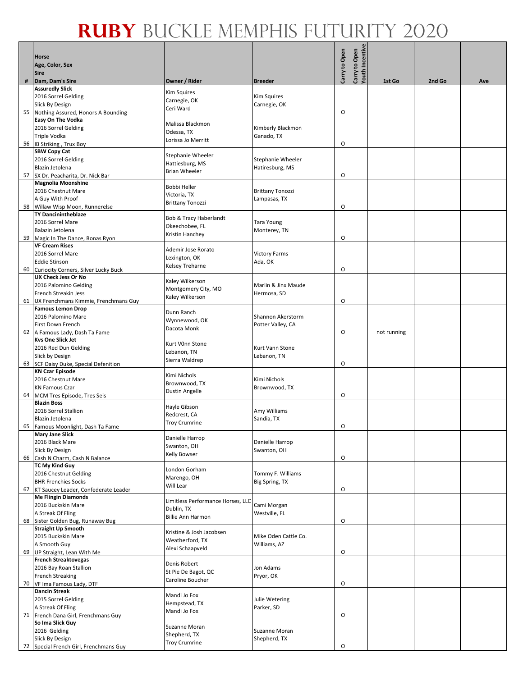|    | Horse                                                              |                                                 |                                    | Carry to Open | Carry to Open<br>Youth Incentive |             |        |     |
|----|--------------------------------------------------------------------|-------------------------------------------------|------------------------------------|---------------|----------------------------------|-------------|--------|-----|
|    | Age, Color, Sex<br><b>Sire</b>                                     |                                                 |                                    |               |                                  |             |        |     |
| #  | Dam, Dam's Sire                                                    | Owner / Rider                                   | <b>Breeder</b>                     |               |                                  | 1st Go      | 2nd Go | Ave |
|    | <b>Assuredly Slick</b>                                             | Kim Squires                                     |                                    |               |                                  |             |        |     |
|    | 2016 Sorrel Gelding<br><b>Slick By Design</b>                      | Carnegie, OK                                    | <b>Kim Squires</b><br>Carnegie, OK |               |                                  |             |        |     |
| 55 | Nothing Assured, Honors A Bounding                                 | Ceri Ward                                       |                                    | O             |                                  |             |        |     |
|    | <b>Easy On The Vodka</b><br>2016 Sorrel Gelding                    | Malissa Blackmon                                | Kimberly Blackmon                  |               |                                  |             |        |     |
|    | Triple Vodka                                                       | Odessa, TX                                      | Ganado, TX                         |               |                                  |             |        |     |
|    | 56 B Striking, Trux Boy                                            | Lorissa Jo Merritt                              |                                    | O             |                                  |             |        |     |
|    | <b>SBW Copy Cat</b><br>2016 Sorrel Gelding                         | Stephanie Wheeler                               | Stephanie Wheeler                  |               |                                  |             |        |     |
|    | Blazin Jetolena                                                    | Hattiesburg, MS                                 | Hatiresburg, MS                    |               |                                  |             |        |     |
|    | 57 SX Dr. Peacharita, Dr. Nick Bar                                 | <b>Brian Wheeler</b>                            |                                    | O             |                                  |             |        |     |
|    | <b>Magnolia Moonshine</b><br>2016 Chestnut Mare                    | Bobbi Heller                                    | <b>Brittany Tonozzi</b>            |               |                                  |             |        |     |
|    | A Guy With Proof                                                   | Victoria, TX                                    | Lampasas, TX                       |               |                                  |             |        |     |
| 58 | Willaw Wisp Moon, Runnerelse                                       | <b>Brittany Tonozzi</b>                         |                                    | O             |                                  |             |        |     |
|    | <b>TY Dancinintheblaze</b><br>2016 Sorrel Mare                     | Bob & Tracy Haberlandt                          | Tara Young                         |               |                                  |             |        |     |
|    | Balazin Jetolena                                                   | Okeechobee, FL                                  | Monterey, TN                       |               |                                  |             |        |     |
|    | 59 Magic In The Dance, Ronas Ryon                                  | Kristin Hanchey                                 |                                    | O             |                                  |             |        |     |
|    | <b>VF Cream Rises</b><br>2016 Sorrel Mare                          | Ademir Jose Rorato                              | <b>Victory Farms</b>               |               |                                  |             |        |     |
|    | <b>Eddie Stinson</b>                                               | Lexington, OK                                   | Ada, OK                            |               |                                  |             |        |     |
| 60 | Curiocity Corners, Silver Lucky Buck<br><b>UX Check Jess Or No</b> | Kelsey Treharne                                 |                                    | $\circ$       |                                  |             |        |     |
|    | 2016 Palomino Gelding                                              | Kaley Wilkerson                                 | Marlin & Jinx Maude                |               |                                  |             |        |     |
|    | French Streakin Jess                                               | Montgomery City, MO<br>Kaley Wilkerson          | Hermosa, SD                        |               |                                  |             |        |     |
| 61 | UX Frenchmans Kimmie, Frenchmans Guy                               |                                                 |                                    | O             |                                  |             |        |     |
|    | <b>Famous Lemon Drop</b><br>2016 Palomino Mare                     | Dunn Ranch                                      | Shannon Akerstorm                  |               |                                  |             |        |     |
|    | First Down French                                                  | Wynnewood, OK<br>Dacota Monk                    | Potter Valley, CA                  |               |                                  |             |        |     |
|    | 62 A Famous Lady, Dash Ta Fame                                     |                                                 |                                    | O             |                                  | not running |        |     |
|    | <b>Kvs One Slick Jet</b><br>2016 Red Dun Gelding                   | Kurt V0nn Stone                                 | Kurt Vann Stone                    |               |                                  |             |        |     |
|    | Slick by Design                                                    | Lebanon, TN<br>Sierra Waldrep                   | Lebanon, TN                        |               |                                  |             |        |     |
|    | 63 SCF Daisy Duke, Special Defenition<br><b>KN Czar Episode</b>    |                                                 |                                    | O             |                                  |             |        |     |
|    | 2016 Chestnut Mare                                                 | Kimi Nichols                                    | Kimi Nichols                       |               |                                  |             |        |     |
|    | <b>KN Famous Czar</b>                                              | Brownwood, TX<br><b>Dustin Angelle</b>          | Brownwood, TX                      |               |                                  |             |        |     |
|    | 64 MCM Tres Episode, Tres Seis<br><b>Blazin Boss</b>               |                                                 |                                    | O             |                                  |             |        |     |
|    | 2016 Sorrel Stallion                                               | Hayle Gibson                                    | Amy Williams                       |               |                                  |             |        |     |
|    | Blazin Jetolena                                                    | Redcrest, CA<br><b>Troy Crumrine</b>            | Sandia, TX                         |               |                                  |             |        |     |
| 65 | Famous Moonlight, Dash Ta Fame<br><b>Mary Jane Slick</b>           |                                                 |                                    | O             |                                  |             |        |     |
|    | 2016 Black Mare                                                    | Danielle Harrop<br>Swanton, OH                  | Danielle Harrop                    |               |                                  |             |        |     |
|    | Slick By Design                                                    | Kelly Bowser                                    | Swanton, OH                        |               |                                  |             |        |     |
| 66 | Cash N Charm, Cash N Balance<br><b>TC My Kind Guy</b>              |                                                 |                                    | O             |                                  |             |        |     |
|    | 2016 Chestnut Gelding                                              | London Gorham<br>Marengo, OH                    | Tommy F. Williams                  |               |                                  |             |        |     |
| 67 | <b>BHR Frenchies Socks</b><br>KT Saucey Leader, Confederate Leader | Will Lear                                       | Big Spring, TX                     | O             |                                  |             |        |     |
|    | <b>Me Flingin Diamonds</b>                                         |                                                 |                                    |               |                                  |             |        |     |
|    | 2016 Buckskin Mare                                                 | Limitless Performance Horses, LLC<br>Dublin, TX | Cami Morgan                        |               |                                  |             |        |     |
| 68 | A Streak Of Fling<br>Sister Golden Bug, Runaway Bug                | <b>Billie Ann Harmon</b>                        | Westville, FL                      | O             |                                  |             |        |     |
|    | <b>Straight Up Smooth</b>                                          |                                                 |                                    |               |                                  |             |        |     |
|    | 2015 Buckskin Mare                                                 | Kristine & Josh Jacobsen<br>Weatherford, TX     | Mike Oden Cattle Co.               |               |                                  |             |        |     |
| 69 | A Smooth Guy<br>UP Straight, Lean With Me                          | Alexi Schaapveld                                | Williams, AZ                       | O             |                                  |             |        |     |
|    | <b>French Streaktovegas</b>                                        | Denis Robert                                    |                                    |               |                                  |             |        |     |
|    | 2016 Bay Roan Stallion                                             | St Pie De Bagot, QC                             | Jon Adams                          |               |                                  |             |        |     |
|    | <b>French Streaking</b><br>70 VF Ima Famous Lady, DTF              | Caroline Boucher                                | Pryor, OK                          | O             |                                  |             |        |     |
|    | <b>Dancin Streak</b>                                               | Mandi Jo Fox                                    |                                    |               |                                  |             |        |     |
|    | 2015 Sorrel Gelding                                                | Hempstead, TX                                   | Julie Wetering                     |               |                                  |             |        |     |
|    | A Streak Of Fling<br>71 French Dana Girl, Frenchmans Guy           | Mandi Jo Fox                                    | Parker, SD                         | O             |                                  |             |        |     |
|    | So Ima Slick Guy                                                   | Suzanne Moran                                   |                                    |               |                                  |             |        |     |
|    | 2016 Gelding<br>Slick By Design                                    | Shepherd, TX                                    | Suzanne Moran<br>Shepherd, TX      |               |                                  |             |        |     |
|    | 72 Special French Girl, Frenchmans Guy                             | <b>Troy Crumrine</b>                            |                                    | O             |                                  |             |        |     |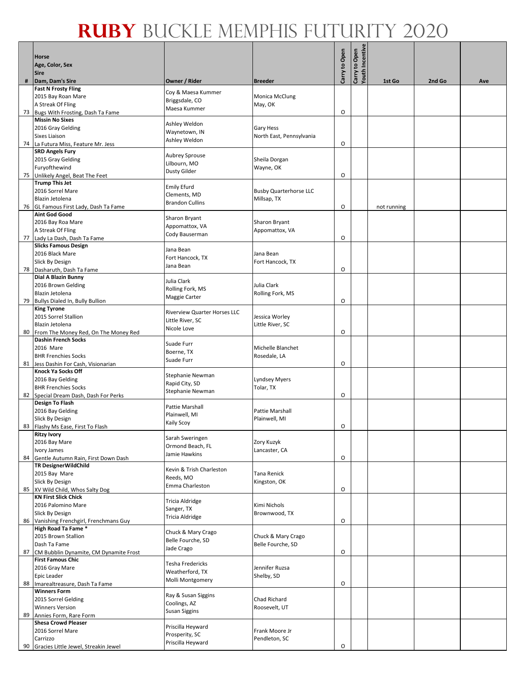|    | Horse                                                              |                                      |                                              | Carry to Open | Carry to Open<br>Youth Incentive |             |        |     |
|----|--------------------------------------------------------------------|--------------------------------------|----------------------------------------------|---------------|----------------------------------|-------------|--------|-----|
|    | Age, Color, Sex<br><b>Sire</b>                                     |                                      |                                              |               |                                  |             |        |     |
| #  | Dam, Dam's Sire                                                    | Owner / Rider                        | <b>Breeder</b>                               |               |                                  | 1st Go      | 2nd Go | Ave |
|    | <b>Fast N Frosty Fling</b>                                         | Coy & Maesa Kummer                   |                                              |               |                                  |             |        |     |
|    | 2015 Bay Roan Mare<br>A Streak Of Fling                            | Briggsdale, CO                       | Monica McClung<br>May, OK                    |               |                                  |             |        |     |
|    | 73 Bugs With Frosting, Dash Ta Fame                                | Maesa Kummer                         |                                              | O             |                                  |             |        |     |
|    | <b>Missin No Sixes</b>                                             | Ashley Weldon                        |                                              |               |                                  |             |        |     |
|    | 2016 Gray Gelding<br><b>Sixes Liaison</b>                          | Waynetown, IN                        | <b>Gary Hess</b><br>North East, Pennsylvania |               |                                  |             |        |     |
|    | 74 La Futura Miss, Feature Mr. Jess                                | Ashley Weldon                        |                                              | O             |                                  |             |        |     |
|    | <b>SRD Angels Fury</b><br>2015 Gray Gelding                        | <b>Aubrey Sprouse</b>                | Sheila Dorgan                                |               |                                  |             |        |     |
|    | Furyofthewind                                                      | Lilbourn, MO                         | Wayne, OK                                    |               |                                  |             |        |     |
|    | 75 Unlikely Angel, Beat The Feet                                   | <b>Dusty Gilder</b>                  |                                              | 0             |                                  |             |        |     |
|    | <b>Trump This Jet</b><br>2016 Sorrel Mare                          | <b>Emily Efurd</b>                   | <b>Busby Quarterhorse LLC</b>                |               |                                  |             |        |     |
|    | Blazin Jetolena                                                    | Clements, MD                         | Millsap, TX                                  |               |                                  |             |        |     |
|    | 76 GL Famous First Lady, Dash Ta Fame                              | <b>Brandon Cullins</b>               |                                              | O             |                                  | not running |        |     |
|    | <b>Aint God Good</b><br>2016 Bay Roa Mare                          | Sharon Bryant                        | Sharon Bryant                                |               |                                  |             |        |     |
|    | A Streak Of Fling                                                  | Appomattox, VA                       | Appomattox, VA                               |               |                                  |             |        |     |
|    | 77 Lady La Dash, Dash Ta Fame                                      | Cody Bauserman                       |                                              | O             |                                  |             |        |     |
|    | <b>Slicks Famous Design</b><br>2016 Black Mare                     | Jana Bean                            | Jana Bean                                    |               |                                  |             |        |     |
|    | Slick By Design                                                    | Fort Hancock, TX                     | Fort Hancock, TX                             |               |                                  |             |        |     |
|    | 78 Dasharuth, Dash Ta Fame                                         | Jana Bean                            |                                              | O             |                                  |             |        |     |
|    | Dial A Blazin Bunny<br>2016 Brown Gelding                          | Julia Clark                          | Julia Clark                                  |               |                                  |             |        |     |
|    | Blazin Jetolena                                                    | Rolling Fork, MS                     | Rolling Fork, MS                             |               |                                  |             |        |     |
| 79 | Bullys Dialed In, Bully Bullion                                    | Maggie Carter                        |                                              | $\circ$       |                                  |             |        |     |
|    | <b>King Tyrone</b><br>2015 Sorrel Stallion                         | Riverview Quarter Horses LLC         | Jessica Worley                               |               |                                  |             |        |     |
|    | Blazin Jetolena                                                    | Little River, SC                     | Little River, SC                             |               |                                  |             |        |     |
| 80 | From The Money Red, On The Money Red                               | Nicole Love                          |                                              | O             |                                  |             |        |     |
|    | <b>Dashin French Socks</b><br>2016 Mare                            | Suade Furr                           | Michelle Blanchet                            |               |                                  |             |        |     |
|    | <b>BHR Frenchies Socks</b>                                         | Boerne, TX                           | Rosedale, LA                                 |               |                                  |             |        |     |
|    | 81 Jess Dashin For Cash, Visionarian                               | Suade Furr                           |                                              | O             |                                  |             |        |     |
|    | <b>Knock Ya Socks Off</b><br>2016 Bay Gelding                      | Stephanie Newman                     | <b>Lyndsey Myers</b>                         |               |                                  |             |        |     |
|    | <b>BHR Frenchies Socks</b>                                         | Rapid City, SD                       | Tolar, TX                                    |               |                                  |             |        |     |
|    | 82 Special Dream Dash, Dash For Perks                              | Stephanie Newman                     |                                              | O             |                                  |             |        |     |
|    | <b>Design To Flash</b><br>2016 Bay Gelding                         | Pattie Marshall                      | Pattie Marshall                              |               |                                  |             |        |     |
|    | Slick By Design                                                    | Plainwell, MI                        | Plainwell, MI                                |               |                                  |             |        |     |
|    | 83 Flashy Ms Ease, First To Flash                                  | Kaily Scoy                           |                                              | O             |                                  |             |        |     |
|    | <b>Ritzy Ivory</b><br>2016 Bay Mare                                | Sarah Sweringen                      | Zory Kuzyk                                   |               |                                  |             |        |     |
|    | Ivory James                                                        | Ormond Beach, FL<br>Jamie Hawkins    | Lancaster, CA                                |               |                                  |             |        |     |
| 84 | Gentle Autumn Rain, First Down Dash                                |                                      |                                              | O             |                                  |             |        |     |
|    | <b>TR DesignerWildChild</b><br>2015 Bay Mare                       | Kevin & Trish Charleston             | Tana Renick                                  |               |                                  |             |        |     |
|    | Slick By Design                                                    | Reeds, MO<br>Emma Charleston         | Kingston, OK                                 |               |                                  |             |        |     |
| 85 | XV Wild Child, Whos Salty Dog<br><b>KN First Slick Chick</b>       |                                      |                                              | O             |                                  |             |        |     |
|    | 2016 Palomino Mare                                                 | Tricia Aldridge                      | Kimi Nichols                                 |               |                                  |             |        |     |
|    | Slick By Design                                                    | Sanger, TX<br>Tricia Aldridge        | Brownwood, TX                                |               |                                  |             |        |     |
| 86 | Vanishing Frenchgirl, Frenchmans Guy<br>High Road Ta Fame *        |                                      |                                              | O             |                                  |             |        |     |
|    | 2015 Brown Stallion                                                | Chuck & Mary Crago                   | Chuck & Mary Crago                           |               |                                  |             |        |     |
|    | Dash Ta Fame                                                       | Belle Fourche, SD<br>Jade Crago      | Belle Fourche, SD                            |               |                                  |             |        |     |
| 87 | CM Bubblin Dynamite, CM Dynamite Frost<br><b>First Famous Chic</b> |                                      |                                              | O             |                                  |             |        |     |
|    | 2016 Gray Mare                                                     | Tesha Fredericks                     | Jennifer Ruzsa                               |               |                                  |             |        |     |
|    | Epic Leader                                                        | Weatherford, TX<br>Molli Montgomery  | Shelby, SD                                   |               |                                  |             |        |     |
|    | 88 Imarealtreasure, Dash Ta Fame<br><b>Winners Form</b>            |                                      |                                              | O             |                                  |             |        |     |
|    | 2015 Sorrel Gelding                                                | Ray & Susan Siggins                  | Chad Richard                                 |               |                                  |             |        |     |
|    | <b>Winners Version</b>                                             | Coolings, AZ<br><b>Susan Siggins</b> | Roosevelt, UT                                |               |                                  |             |        |     |
| 89 | Annies Form, Rare Form<br><b>Shesa Crowd Pleaser</b>               |                                      |                                              |               |                                  |             |        |     |
|    | 2016 Sorrel Mare                                                   | Priscilla Heyward<br>Prosperity, SC  | Frank Moore Jr                               |               |                                  |             |        |     |
|    | Carrizzo                                                           | Priscilla Heyward                    | Pendleton, SC                                |               |                                  |             |        |     |
| 90 | Gracies Little Jewel, Streakin Jewel                               |                                      |                                              | O             |                                  |             |        |     |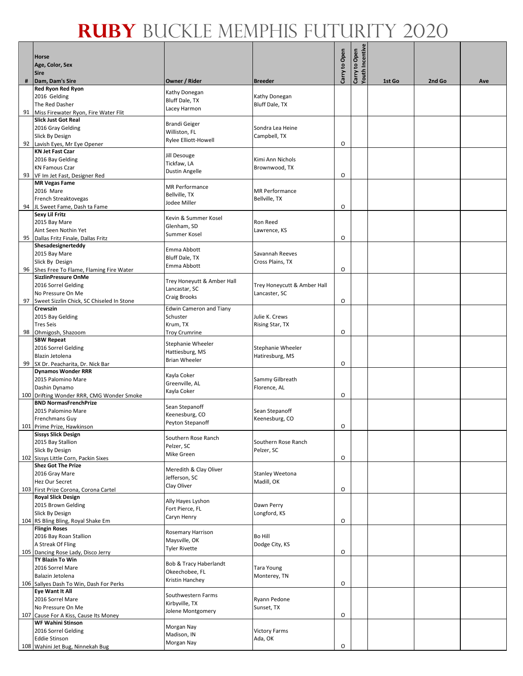|    | Horse<br>Age, Color, Sex<br><b>Sire</b>                               |                                       |                                   | Carry to Open | Carry to Open<br>Youth Incentive |        |        |     |
|----|-----------------------------------------------------------------------|---------------------------------------|-----------------------------------|---------------|----------------------------------|--------|--------|-----|
|    | Dam, Dam's Sire                                                       | Owner / Rider                         | <b>Breeder</b>                    |               |                                  | 1st Go | 2nd Go | Ave |
|    | Red Ryon Red Ryon                                                     | Kathy Donegan                         |                                   |               |                                  |        |        |     |
|    | 2016 Gelding                                                          | Bluff Dale, TX                        | Kathy Donegan                     |               |                                  |        |        |     |
| 91 | The Red Dasher<br>Miss Firewater Ryon, Fire Water Flit                | Lacey Harmon                          | <b>Bluff Dale, TX</b>             |               |                                  |        |        |     |
|    | <b>Slick Just Got Real</b>                                            |                                       |                                   |               |                                  |        |        |     |
|    | 2016 Gray Gelding                                                     | <b>Brandi Geiger</b><br>Williston, FL | Sondra Lea Heine                  |               |                                  |        |        |     |
|    | Slick By Design                                                       | Rylee Elliott-Howell                  | Campbell, TX                      |               |                                  |        |        |     |
|    | 92 Lavish Eyes, Mr Eye Opener                                         |                                       |                                   | O             |                                  |        |        |     |
|    | <b>KN Jet Fast Czar</b>                                               | Jill Desouge                          |                                   |               |                                  |        |        |     |
|    | 2016 Bay Gelding<br><b>KN Famous Czar</b>                             | Tickfaw, LA                           | Kimi Ann Nichols<br>Brownwood, TX |               |                                  |        |        |     |
|    | 93 VF Im Jet Fast, Designer Red                                       | <b>Dustin Angelle</b>                 |                                   | O             |                                  |        |        |     |
|    | <b>MR Vegas Fame</b>                                                  | <b>MR Performance</b>                 |                                   |               |                                  |        |        |     |
|    | 2016 Mare                                                             | Bellville, TX                         | <b>MR</b> Performance             |               |                                  |        |        |     |
|    | French Streaktovegas                                                  | Jodee Miller                          | Bellville, TX                     |               |                                  |        |        |     |
| 94 | JL Sweet Fame, Dash ta Fame                                           |                                       |                                   | O             |                                  |        |        |     |
|    | <b>Sexy Lil Fritz</b><br>2015 Bay Mare                                | Kevin & Summer Kosel                  | Ron Reed                          |               |                                  |        |        |     |
|    | Aint Seen Nothin Yet                                                  | Glenham, SD                           | Lawrence, KS                      |               |                                  |        |        |     |
| 95 | Dallas Fritz Finale, Dallas Fritz                                     | Summer Kosel                          |                                   | O             |                                  |        |        |     |
|    | Shesadesignerteddy                                                    | Emma Abbott                           |                                   |               |                                  |        |        |     |
|    | 2015 Bay Mare                                                         | Bluff Dale, TX                        | Savannah Reeves                   |               |                                  |        |        |     |
|    | Slick By Design                                                       | Emma Abbott                           | Cross Plains, TX                  |               |                                  |        |        |     |
| 96 | Shes Free To Flame, Flaming Fire Water<br><b>SizzlinPressure OnMe</b> |                                       |                                   | $\circ$       |                                  |        |        |     |
|    | 2016 Sorrel Gelding                                                   | Trey Honeyutt & Amber Hall            | Trey Honeycutt & Amber Hall       |               |                                  |        |        |     |
|    | No Pressure On Me                                                     | Lancastar, SC                         | Lancaster, SC                     |               |                                  |        |        |     |
| 97 | Sweet Sizzlin Chick, SC Chiseled In Stone                             | Craig Brooks                          |                                   | O             |                                  |        |        |     |
|    | <b>Crewszin</b>                                                       | <b>Edwin Cameron and Tiany</b>        |                                   |               |                                  |        |        |     |
|    | 2015 Bay Gelding                                                      | Schuster                              | Julie K. Crews                    |               |                                  |        |        |     |
|    | <b>Tres Seis</b>                                                      | Krum, TX                              | Rising Star, TX                   | O             |                                  |        |        |     |
| 98 | Ohmigosh, Shazoom<br><b>SBW Repeat</b>                                | <b>Troy Crumrine</b>                  |                                   |               |                                  |        |        |     |
|    | 2016 Sorrel Gelding                                                   | Stephanie Wheeler                     | Stephanie Wheeler                 |               |                                  |        |        |     |
|    | Blazin Jetolena                                                       | Hattiesburg, MS                       | Hatiresburg, MS                   |               |                                  |        |        |     |
|    | 99 SX Dr. Peacharita, Dr. Nick Bar                                    | <b>Brian Wheeler</b>                  |                                   | O             |                                  |        |        |     |
|    | <b>Dynamos Wonder RRR</b>                                             | Kayla Coker                           |                                   |               |                                  |        |        |     |
|    | 2015 Palomino Mare                                                    | Greenville, AL                        | Sammy Gilbreath                   |               |                                  |        |        |     |
|    | Dashin Dynamo<br>100 Drifting Wonder RRR, CMG Wonder Smoke            | Kayla Coker                           | Florence, AL                      | O             |                                  |        |        |     |
|    | <b>BND NormasFrenchPrize</b>                                          |                                       |                                   |               |                                  |        |        |     |
|    | 2015 Palomino Mare                                                    | Sean Stepanoff                        | Sean Stepanoff                    |               |                                  |        |        |     |
|    | <b>Frenchmans Guy</b>                                                 | Keenesburg, CO<br>Peyton Stepanoff    | Keenesburg, CO                    |               |                                  |        |        |     |
|    | 101 Prime Prize, Hawkinson                                            |                                       |                                   | O             |                                  |        |        |     |
|    | <b>Sissys Slick Design</b><br>2015 Bay Stallion                       | Southern Rose Ranch                   | Southern Rose Ranch               |               |                                  |        |        |     |
|    | Slick By Design                                                       | Pelzer, SC                            | Pelzer, SC                        |               |                                  |        |        |     |
|    | 102 Sissys Little Corn, Packin Sixes                                  | Mike Green                            |                                   | O             |                                  |        |        |     |
|    | <b>Shez Got The Prize</b>                                             | Meredith & Clay Oliver                |                                   |               |                                  |        |        |     |
|    | 2016 Gray Mare                                                        | Jefferson, SC                         | Stanley Weetona                   |               |                                  |        |        |     |
|    | Hez Our Secret                                                        | Clay Oliver                           | Madill, OK                        |               |                                  |        |        |     |
|    | 103 First Prize Corona, Corona Cartel<br><b>Royal Slick Design</b>    |                                       |                                   | O             |                                  |        |        |     |
|    | 2015 Brown Gelding                                                    | Ally Hayes Lyshon                     | Dawn Perry                        |               |                                  |        |        |     |
|    | Slick By Design                                                       | Fort Pierce, FL                       | Longford, KS                      |               |                                  |        |        |     |
|    | 104 RS Bling Bling, Royal Shake Em                                    | Caryn Henry                           |                                   | O             |                                  |        |        |     |
|    | <b>Flingin Roses</b>                                                  | <b>Rosemary Harrison</b>              |                                   |               |                                  |        |        |     |
|    | 2016 Bay Roan Stallion                                                | Maysville, OK                         | <b>Bo Hill</b>                    |               |                                  |        |        |     |
|    | A Streak Of Fling<br>105 Dancing Rose Lady, Disco Jerry               | <b>Tyler Rivette</b>                  | Dodge City, KS                    | $\circ$       |                                  |        |        |     |
|    | TY Blazin To Win                                                      |                                       |                                   |               |                                  |        |        |     |
|    | 2016 Sorrel Mare                                                      | Bob & Tracy Haberlandt                | <b>Tara Young</b>                 |               |                                  |        |        |     |
|    | Balazin Jetolena                                                      | Okeechobee, FL<br>Kristin Hanchey     | Monterey, TN                      |               |                                  |        |        |     |
|    | 106 Sallyes Dash To Win, Dash For Perks                               |                                       |                                   | O             |                                  |        |        |     |
|    | Eye Want It All                                                       | Southwestern Farms                    |                                   |               |                                  |        |        |     |
|    | 2016 Sorrel Mare<br>No Pressure On Me                                 | Kirbyville, TX                        | Ryann Pedone<br>Sunset, TX        |               |                                  |        |        |     |
|    | 107 Cause For A Kiss, Cause Its Money                                 | Jolene Montgomery                     |                                   | O             |                                  |        |        |     |
|    | <b>WF Wahini Stinson</b>                                              |                                       |                                   |               |                                  |        |        |     |
|    | 2016 Sorrel Gelding                                                   | Morgan Nay<br>Madison, IN             | <b>Victory Farms</b>              |               |                                  |        |        |     |
|    | <b>Eddie Stinson</b>                                                  | Morgan Nay                            | Ada, OK                           |               |                                  |        |        |     |
|    | 108 Wahini Jet Bug, Ninnekah Bug                                      |                                       |                                   | O             |                                  |        |        |     |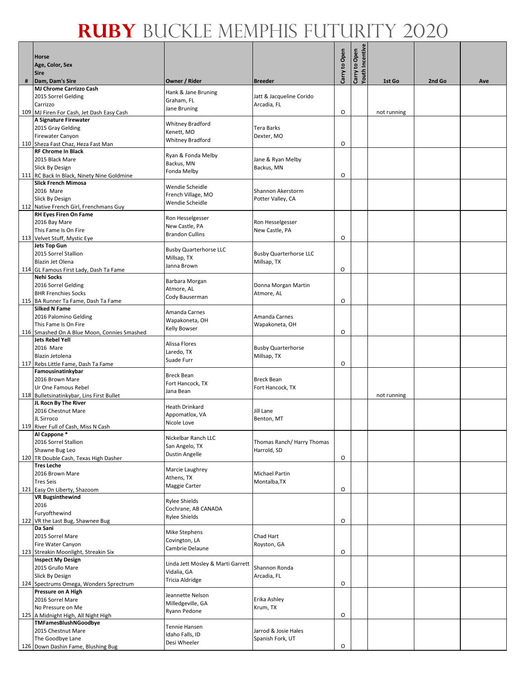|     | Horse                                                                    |                                          |                                          | Carry to Open | Carry to Open<br>Youth Incentive |             |        |     |
|-----|--------------------------------------------------------------------------|------------------------------------------|------------------------------------------|---------------|----------------------------------|-------------|--------|-----|
|     | Age, Color, Sex<br><b>Sire</b>                                           |                                          |                                          |               |                                  |             |        |     |
| #   | Dam, Dam's Sire                                                          | Owner / Rider                            | <b>Breeder</b>                           |               |                                  | 1st Go      | 2nd Go | Ave |
|     | <b>MJ Chrome Carrizzo Cash</b><br>2015 Sorrel Gelding                    | Hank & Jane Bruning                      | Jatt & Jacqueline Corido                 |               |                                  |             |        |     |
|     | Carrizzo                                                                 | Graham, FL<br>Jane Bruning               | Arcadia, FL                              |               |                                  |             |        |     |
|     | 109 MJ Firen For Cash, Jet Dash Easy Cash<br>A Signature Firewater       |                                          |                                          | O             |                                  | not running |        |     |
|     | 2015 Gray Gelding                                                        | <b>Whitney Bradford</b>                  | Tera Barks                               |               |                                  |             |        |     |
|     | <b>Firewater Canyon</b>                                                  | Kenett, MO<br><b>Whitney Bradford</b>    | Dexter, MO                               |               |                                  |             |        |     |
|     | 110 Sheza Fast Chaz, Heza Fast Man<br><b>RF Chrome In Black</b>          |                                          |                                          | O             |                                  |             |        |     |
|     | 2015 Black Mare                                                          | Ryan & Fonda Melby                       | Jane & Ryan Melby                        |               |                                  |             |        |     |
|     | Slick By Design                                                          | Backus, MN<br>Fonda Melby                | Backus, MN                               |               |                                  |             |        |     |
|     | 111 RC Back In Black, Ninety Nine Goldmine<br><b>Slick French Mimosa</b> |                                          |                                          | O             |                                  |             |        |     |
|     | 2016 Mare                                                                | Wendie Scheidle                          | Shannon Akerstorm                        |               |                                  |             |        |     |
|     | Slick By Design                                                          | French Village, MO<br>Wendie Scheidle    | Potter Valley, CA                        |               |                                  |             |        |     |
|     | 112 Native French Girl, Frenchmans Guy<br><b>RH Eyes Firen On Fame</b>   |                                          |                                          |               |                                  |             |        |     |
|     | 2016 Bay Mare                                                            | Ron Hesselgesser                         | Ron Hesselgesser                         |               |                                  |             |        |     |
|     | This Fame Is On Fire                                                     | New Castle, PA<br><b>Brandon Cullins</b> | New Castle, PA                           |               |                                  |             |        |     |
|     | 113 Velvet Stuff, Mystic Eye<br><b>Jets Top Gun</b>                      |                                          |                                          | O             |                                  |             |        |     |
|     | 2015 Sorrel Stallion                                                     | <b>Busby Quarterhorse LLC</b>            | <b>Busby Quarterhorse LLC</b>            |               |                                  |             |        |     |
|     | Blazin Jet Olena                                                         | Millsap, TX<br>Janna Brown               | Millsap, TX                              |               |                                  |             |        |     |
|     | 114 GL Famous First Lady, Dash Ta Fame<br><b>Nehi Socks</b>              |                                          |                                          | O             |                                  |             |        |     |
|     | 2016 Sorrel Gelding                                                      | Barbara Morgan                           | Donna Morgan Martin                      |               |                                  |             |        |     |
|     | <b>BHR Frenchies Socks</b>                                               | Atmore, AL<br>Cody Bauserman             | Atmore, AL                               |               |                                  |             |        |     |
|     | 115 BA Runner Ta Fame, Dash Ta Fame<br><b>Silked N Fame</b>              |                                          |                                          | $\circ$       |                                  |             |        |     |
|     | 2016 Palomino Gelding                                                    | Amanda Carnes                            | Amanda Carnes                            |               |                                  |             |        |     |
|     | This Fame Is On Fire                                                     | Wapakoneta, OH<br><b>Kelly Bowser</b>    | Wapakoneta, OH                           |               |                                  |             |        |     |
|     | 116 Smashed On A Blue Moon, Connies Smashed<br><b>Jets Rebel Yell</b>    |                                          |                                          | O             |                                  |             |        |     |
|     | 2016 Mare                                                                | Alissa Flores<br>Laredo, TX              | <b>Busby Quarterhorse</b>                |               |                                  |             |        |     |
|     | Blazin Jetolena                                                          | Suade Furr                               | Millsap, TX                              |               |                                  |             |        |     |
|     | 117 Rebs Little Fame, Dash Ta Fame<br>Famousinatinkybar                  |                                          |                                          | O             |                                  |             |        |     |
|     | 2016 Brown Mare                                                          | <b>Breck Bean</b><br>Fort Hancock, TX    | <b>Breck Bean</b>                        |               |                                  |             |        |     |
|     | Ur One Famous Rebel                                                      | Jana Bean                                | Fort Hancock, TX                         |               |                                  |             |        |     |
|     | 118 Bulletsinatinkybar, Lins First Bullet<br>JL Rocn By The River        |                                          |                                          |               |                                  | not running |        |     |
|     | 2016 Chestnut Mare                                                       | Heath Drinkard<br>Appomatlox, VA         | Jill Lane                                |               |                                  |             |        |     |
|     | JL Sirroco                                                               | Nicole Love                              | Benton, MT                               |               |                                  |             |        |     |
|     | 119 River Full of Cash, Miss N Cash<br>Al Cappone*                       |                                          |                                          |               |                                  |             |        |     |
|     | 2016 Sorrel Stallion                                                     | Nickelbar Ranch LLC<br>San Angelo, TX    | Thomas Ranch/ Harry Thomas               |               |                                  |             |        |     |
|     | Shawne Bug Leo<br>120 TR Double Cash, Texas High Dasher                  | <b>Dustin Angelle</b>                    | Harrold, SD                              | O             |                                  |             |        |     |
|     | <b>Tres Leche</b>                                                        | Marcie Laughrey                          |                                          |               |                                  |             |        |     |
|     | 2016 Brown Mare                                                          | Athens, TX                               | <b>Michael Partin</b>                    |               |                                  |             |        |     |
|     | <b>Tres Seis</b><br>121 Easy On Liberty, Shazoom                         | Maggie Carter                            | Montalba, TX                             | O             |                                  |             |        |     |
|     | <b>VR Bugsinthewind</b>                                                  | <b>Rylee Shields</b>                     |                                          |               |                                  |             |        |     |
|     | 2016                                                                     | Cochrane, AB CANADA                      |                                          |               |                                  |             |        |     |
| 122 | Furyofthewind<br>VR the Last Bug, Shawnee Bug                            | <b>Rylee Shields</b>                     |                                          | O             |                                  |             |        |     |
|     | Da Sani                                                                  | Mike Stephens                            |                                          |               |                                  |             |        |     |
|     | 2015 Sorrel Mare                                                         | Covington, LA                            | Chad Hart                                |               |                                  |             |        |     |
|     | Fire Water Canyon<br>123 Streakin Moonlight, Streakin Six                | Cambrie Delaune                          | Royston, GA                              | O             |                                  |             |        |     |
|     | <b>Inspect My Design</b>                                                 | Linda Jett Mosley & Marti Garrett        |                                          |               |                                  |             |        |     |
|     | 2015 Grullo Mare<br>Slick By Design                                      | Vidalia, GA                              | Shannon Ronda<br>Arcadia, FL             |               |                                  |             |        |     |
|     | 124 Spectrums Omega, Wonders Sprectrum                                   | Tricia Aldridge                          |                                          | O             |                                  |             |        |     |
|     | Pressure on A High                                                       | Jeannette Nelson                         |                                          |               |                                  |             |        |     |
|     | 2016 Sorrel Mare<br>No Pressure on Me                                    | Milledgeville, GA                        | Erika Ashley<br>Krum, TX                 |               |                                  |             |        |     |
| 125 | A Midnight High, All Night High                                          | Ryann Pedone                             |                                          | O             |                                  |             |        |     |
|     | TMFamesBlushNGoodbye                                                     | Tennie Hansen                            |                                          |               |                                  |             |        |     |
|     | 2015 Chestnut Mare<br>The Goodbye Lane                                   | Idaho Falls, ID                          | Jarrod & Josie Hales<br>Spanish Fork, UT |               |                                  |             |        |     |
|     | 126 Down Dashin Fame, Blushing Bug                                       | Desi Wheeler                             |                                          | O             |                                  |             |        |     |